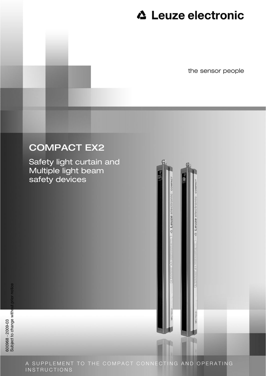# **△ Leuze electronic**

**4 Leuze** electronic

**A** Leuze electron

the sensor people

# COMPACT EX2

Safety light curtain and Multiple light beam safety devices

A SUPPLEMENT TO THE COMPACT CONNECTING AND OPERATING INSTRUCTIONS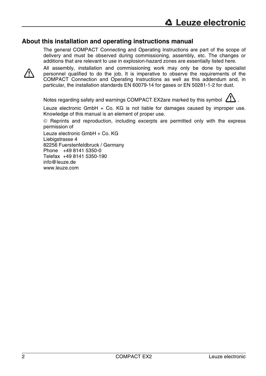#### **About this installation and operating instructions manual**

The general COMPACT Connecting and Operating Instructions are part of the scope of delivery and must be observed during commissioning, assembly, etc. The changes or additions that are relevant to use in explosion-hazard zones are essentially listed here.



All assembly, installation and commissioning work may only be done by specialist personnel qualified to do the job. It is imperative to observe the requirements of the COMPACT Connection and Operating Instructions as well as this addendum and, in particular, the installation standards EN 60079-14 for gases or EN 50281-1-2 for dust.

Notes regarding safety and warnings COMPACT EX2are marked by this symbol  $\sum$ .

Leuze electronic GmbH + Co. KG is not liable for damages caused by improper use. Knowledge of this manual is an element of proper use.

© Reprints and reproduction, including excerpts are permitted only with the express permission of

Leuze electronic GmbH + Co. KG Liebigstrasse 4 82256 Fuerstenfeldbruck / Germany Phone +49 8141 5350-0 Telefax +49 8141 5350-190 info@leuze.de www.leuze.com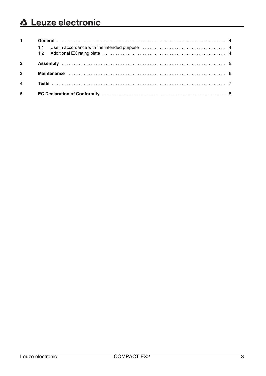# △ Leuze electronic

| $1 \quad$      |  |
|----------------|--|
|                |  |
| $\overline{2}$ |  |
|                |  |
| $\overline{4}$ |  |
| $5^{\circ}$    |  |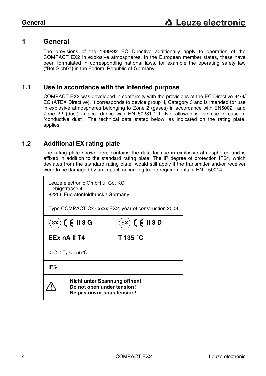### <span id="page-3-0"></span>**1 General**

The provisions of the 1999/92 EC Directive additionally apply to operation of the COMPACT EX2 in explosive atmospheres. In the European member states, these have been formulated in corresponding national laws, for example the operating safety law ("BetrSichG") in the Federal Republic of Germany.

#### <span id="page-3-1"></span>**1.1 Use in accordance with the intended purpose**

COMPACT EX2 was developed in conformity with the provisions of the EC Directive 94/9/ EC (ATEX Directive). It corresponds to device group II, Category 3 and is intended for use in explosive atmospheres belonging to Zone 2 (gases) in accordance with EN50021 and Zone 22 (dust) in accordance with EN 50281-1-1. Not allowed is the use in case of "conductive dust". The technical data stated below, as indicated on the rating plate, applies.

### <span id="page-3-2"></span>**1.2 Additional EX rating plate**

The rating plate shown here contains the data for use in explosive atmospheres and is affixed in addition to the standard rating plate. The IP degree of protection IP54, which deviates from the standard rating plate, would still apply if the transmitter and/or receiver were to be damaged by an impact, according to the requirements of EN 50014.

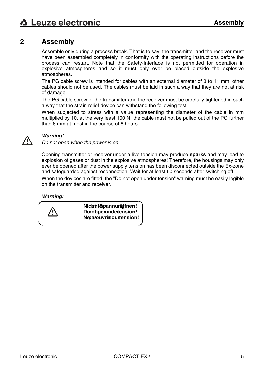# <span id="page-4-0"></span>**2 Assembly**

Assemble only during a process break. That is to say, the transmitter and the receiver must have been assembled completely in conformity with the operating instructions before the process can restart. Note that the Safety-Interface is not permitted for operation in explosive atmospheres and so it must only ever be placed outside the explosive atmospheres.

The PG cable screw is intended for cables with an external diameter of 8 to 11 mm; other cables should not be used. The cables must be laid in such a way that they are not at risk of damage.

The PG cable screw of the transmitter and the receiver must be carefully tightened in such a way that the strain relief device can withstand the following test:

When subjected to stress with a value representing the diameter of the cable in mm multiplied by 10, at the very least 100 N, the cable must not be pulled out of the PG further than 6 mm at most in the course of 6 hours.



#### *Warning!*

*Do not open when the power is on.*

Opening transmitter or receiver under a live tension may produce **sparks** and may lead to explosion of gases or dust in the explosive atmospheres! Therefore, the housings may only ever be opened after the power supply tension has been disconnected outside the Ex-zone and safeguarded against reconnection. Wait for at least 60 seconds after switching off.

When the devices are fitted, the "Do not open under tension" warning must be easily legible on the transmitter and receiver.

#### *Warning:*

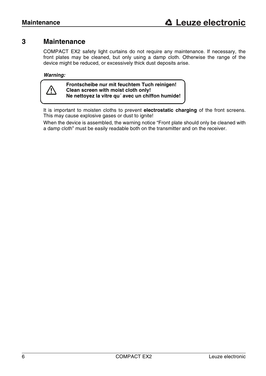# <span id="page-5-0"></span>**3 Maintenance**

COMPACT EX2 safety light curtains do not require any maintenance. If necessary, the front plates may be cleaned, but only using a damp cloth. Otherwise the range of the device might be reduced, or excessively thick dust deposits arise.

#### *Warning:*



**Frontscheibe nur mit feuchtem Tuch reinigen! Clean screen with moist cloth only! Ne nettoyez la vitre qu´ avec un chiffon humide!**

It is important to moisten cloths to prevent **electrostatic charging** of the front screens. This may cause explosive gases or dust to ignite!

When the device is assembled, the warning notice "Front plate should only be cleaned with a damp cloth" must be easily readable both on the transmitter and on the receiver.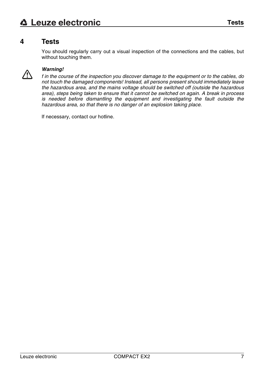# <span id="page-6-0"></span>**4 Tests**

You should regularly carry out a visual inspection of the connections and the cables, but without touching them.



#### *Warning!*

*f in the course of the inspection you discover damage to the equipment or to the cables, do not touch the damaged components! Instead, all persons present should immediately leave the hazardous area, and the mains voltage should be switched off (outside the hazardous area), steps being taken to ensure that it cannot be switched on again. A break in process is needed before dismantling the equipment and investigating the fault outside the hazardous area, so that there is no danger of an explosion taking place.* 

If necessary, contact our hotline.